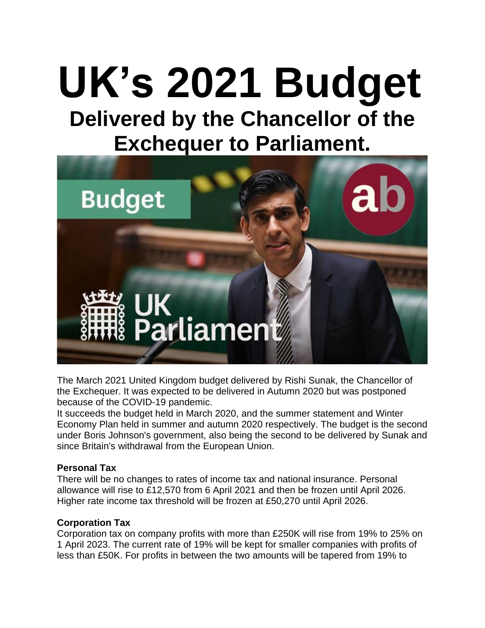# **UK's 2021 Budget Delivered by the Chancellor of the Exchequer to Parliament.**



The March 2021 United Kingdom budget delivered by Rishi Sunak, the Chancellor of the Exchequer. It was expected to be delivered in Autumn 2020 but was postponed because of the COVID-19 pandemic.

It succeeds the budget held in March 2020, and the summer statement and Winter Economy Plan held in summer and autumn 2020 respectively. The budget is the second under Boris Johnson's government, also being the second to be delivered by Sunak and since Britain's withdrawal from the European Union.

## **Personal Tax**

There will be no changes to rates of income tax and national insurance. Personal allowance will rise to £12,570 from 6 April 2021 and then be frozen until April 2026. Higher rate income tax threshold will be frozen at £50,270 until April 2026.

#### **Corporation Tax**

Corporation tax on company profits with more than £250K will rise from 19% to 25% on 1 April 2023. The current rate of 19% will be kept for smaller companies with profits of less than £50K. For profits in between the two amounts will be tapered from 19% to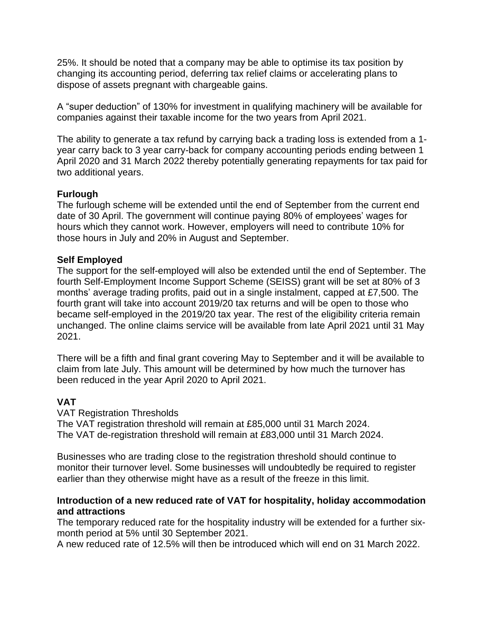25%. It should be noted that a company may be able to optimise its tax position by changing its accounting period, deferring tax relief claims or accelerating plans to dispose of assets pregnant with chargeable gains.

A "super deduction" of 130% for investment in qualifying machinery will be available for companies against their taxable income for the two years from April 2021.

The ability to generate a tax refund by carrying back a trading loss is extended from a 1 year carry back to 3 year carry-back for company accounting periods ending between 1 April 2020 and 31 March 2022 thereby potentially generating repayments for tax paid for two additional years.

## **Furlough**

The furlough scheme will be extended until the end of September from the current end date of 30 April. The government will continue paying 80% of employees' wages for hours which they cannot work. However, employers will need to contribute 10% for those hours in July and 20% in August and September.

## **Self Employed**

The support for the self-employed will also be extended until the end of September. The fourth Self-Employment Income Support Scheme (SEISS) grant will be set at 80% of 3 months' average trading profits, paid out in a single instalment, capped at £7,500. The fourth grant will take into account 2019/20 tax returns and will be open to those who became self-employed in the 2019/20 tax year. The rest of the eligibility criteria remain unchanged. The online claims service will be available from late April 2021 until 31 May 2021.

There will be a fifth and final grant covering May to September and it will be available to claim from late July. This amount will be determined by how much the turnover has been reduced in the year April 2020 to April 2021.

# **VAT**

VAT Registration Thresholds The VAT registration threshold will remain at £85,000 until 31 March 2024. The VAT de-registration threshold will remain at £83,000 until 31 March 2024.

Businesses who are trading close to the registration threshold should continue to monitor their turnover level. Some businesses will undoubtedly be required to register earlier than they otherwise might have as a result of the freeze in this limit.

## **Introduction of a new reduced rate of VAT for hospitality, holiday accommodation and attractions**

The temporary reduced rate for the hospitality industry will be extended for a further sixmonth period at 5% until 30 September 2021.

A new reduced rate of 12.5% will then be introduced which will end on 31 March 2022.